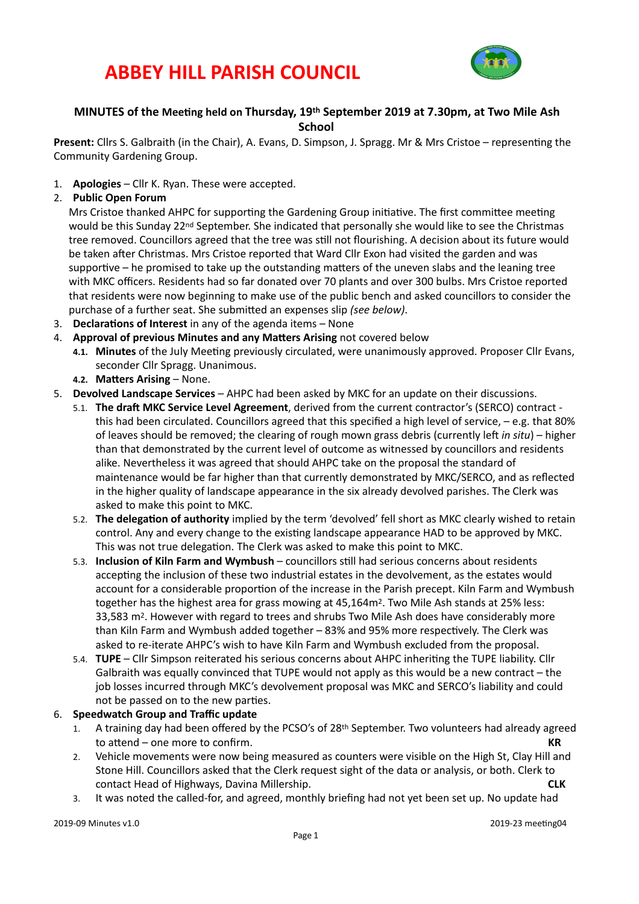# **ABBEY HILL PARISH COUNCIL**



## **MINUTES** of the Meeting held on Thursday, 19<sup>th</sup> September 2019 at 7.30pm, at Two Mile Ash **School**

**Present:** Cllrs S. Galbraith (in the Chair), A. Evans, D. Simpson, J. Spragg. Mr & Mrs Cristoe – representing the Community Gardening Group.

- 1. **Apologies** Cllr K. Ryan. These were accepted.
- 2. **Public Open Forum**

Mrs Cristoe thanked AHPC for supporting the Gardening Group initiative. The first committee meeting would be this Sunday 22<sup>nd</sup> September. She indicated that personally she would like to see the Christmas tree removed. Councillors agreed that the tree was still not flourishing. A decision about its future would be taken after Christmas. Mrs Cristoe reported that Ward Cllr Exon had visited the garden and was supportive  $-$  he promised to take up the outstanding matters of the uneven slabs and the leaning tree with MKC officers. Residents had so far donated over 70 plants and over 300 bulbs. Mrs Cristoe reported that residents were now beginning to make use of the public bench and asked councillors to consider the purchase of a further seat. She submitted an expenses slip (see below).

- 3. **Declarations of Interest** in any of the agenda items None
- 4. **Approval of previous Minutes and any Matters Arising** not covered below
	- 4.1. Minutes of the July Meeting previously circulated, were unanimously approved. Proposer Cllr Evans, seconder Cllr Spragg. Unanimous.
	- **4.2. Matters Arising None.**
- 5. **Devolved Landscape Services** AHPC had been asked by MKC for an update on their discussions.
	- 5.1. **The draft MKC Service Level Agreement**, derived from the current contractor's (SERCO) contract this had been circulated. Councillors agreed that this specified a high level of service,  $-e.g.$  that 80% of leaves should be removed; the clearing of rough mown grass debris (currently left in situ) – higher than that demonstrated by the current level of outcome as witnessed by councillors and residents alike. Nevertheless it was agreed that should AHPC take on the proposal the standard of maintenance would be far higher than that currently demonstrated by MKC/SERCO, and as reflected in the higher quality of landscape appearance in the six already devolved parishes. The Clerk was asked to make this point to MKC.
	- 5.2. **The delegation of authority** implied by the term 'devolved' fell short as MKC clearly wished to retain control. Any and every change to the existing landscape appearance HAD to be approved by MKC. This was not true delegation. The Clerk was asked to make this point to MKC.
	- 5.3. **Inclusion of Kiln Farm and Wymbush** councillors still had serious concerns about residents accepting the inclusion of these two industrial estates in the devolvement, as the estates would account for a considerable proportion of the increase in the Parish precept. Kiln Farm and Wymbush together has the highest area for grass mowing at  $45,164$ m<sup>2</sup>. Two Mile Ash stands at 25% less: 33,583 m<sup>2</sup>. However with regard to trees and shrubs Two Mile Ash does have considerably more than Kiln Farm and Wymbush added together - 83% and 95% more respectively. The Clerk was asked to re-iterate AHPC's wish to have Kiln Farm and Wymbush excluded from the proposal.
	- 5.4. **TUPE** Cllr Simpson reiterated his serious concerns about AHPC inheriting the TUPE liability. Cllr Galbraith was equally convinced that TUPE would not apply as this would be a new contract – the job losses incurred through MKC's devolvement proposal was MKC and SERCO's liability and could not be passed on to the new parties.

#### 6. **Speedwatch Group and Traffic update**

- A training day had been offered by the PCSO's of 28<sup>th</sup> September. Two volunteers had already agreed to attend – one more to confirm. *KR*
- 2. Vehicle movements were now being measured as counters were visible on the High St, Clay Hill and Stone Hill. Councillors asked that the Clerk request sight of the data or analysis, or both. Clerk to contact Head of Highways, Davina Millership. **<b>CLK CLK**
- 3. It was noted the called-for, and agreed, monthly briefing had not yet been set up. No update had